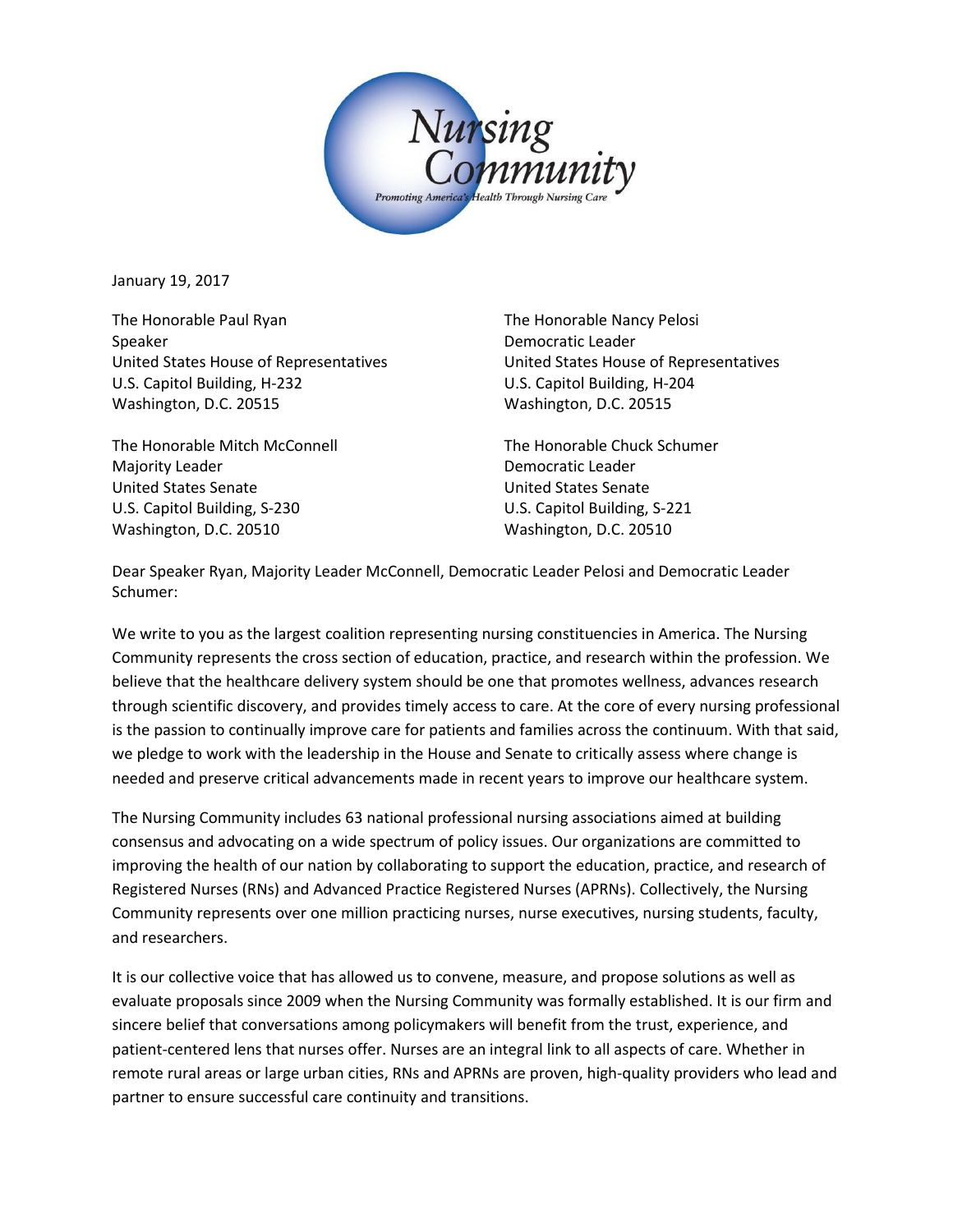

January 19, 2017

The Honorable Paul Ryan The Honorable Nancy Pelosi Speaker **Democratic Leader Democratic Leader** United States House of Representatives United States House of Representatives U.S. Capitol Building, H-232 U.S. Capitol Building, H-204 Washington, D.C. 20515 Washington, D.C. 20515

The Honorable Mitch McConnell The Honorable Chuck Schumer Majority Leader **Democratic Leader Democratic Leader** United States Senate United States Senate U.S. Capitol Building, S-230 U.S. Capitol Building, S-221 Washington, D.C. 20510 Washington, D.C. 20510

Dear Speaker Ryan, Majority Leader McConnell, Democratic Leader Pelosi and Democratic Leader Schumer:

We write to you as the largest coalition representing nursing constituencies in America. The Nursing Community represents the cross section of education, practice, and research within the profession. We believe that the healthcare delivery system should be one that promotes wellness, advances research through scientific discovery, and provides timely access to care. At the core of every nursing professional is the passion to continually improve care for patients and families across the continuum. With that said, we pledge to work with the leadership in the House and Senate to critically assess where change is needed and preserve critical advancements made in recent years to improve our healthcare system.

The Nursing Community includes 63 national professional nursing associations aimed at building consensus and advocating on a wide spectrum of policy issues. Our organizations are committed to improving the health of our nation by collaborating to support the education, practice, and research of Registered Nurses (RNs) and Advanced Practice Registered Nurses (APRNs). Collectively, the Nursing Community represents over one million practicing nurses, nurse executives, nursing students, faculty, and researchers.

It is our collective voice that has allowed us to convene, measure, and propose solutions as well as evaluate proposals since 2009 when the Nursing Community was formally established. It is our firm and sincere belief that conversations among policymakers will benefit from the trust, experience, and patient-centered lens that nurses offer. Nurses are an integral link to all aspects of care. Whether in remote rural areas or large urban cities, RNs and APRNs are proven, high-quality providers who lead and partner to ensure successful care continuity and transitions.